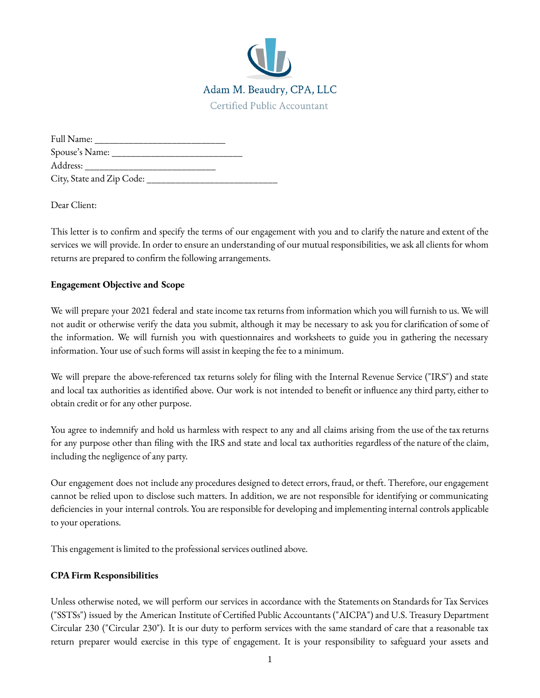

| Full Name:                |  |
|---------------------------|--|
| Spouse's Name:            |  |
| Address:                  |  |
| City, State and Zip Code: |  |

Dear Client:

This letter is to confirm and specify the terms of our engagement with you and to clarify the nature and extent of the services we will provide. In order to ensure an understanding of our mutual responsibilities, we ask all clients for whom returns are prepared to confirm the following arrangements.

#### **Engagement Objective and Scope**

We will prepare your 2021 federal and state income tax returns from information which you will furnish to us. We will not audit or otherwise verify the data you submit, although it may be necessary to ask you for clarification of some of the information. We will furnish you with questionnaires and worksheets to guide you in gathering the necessary information. Your use of such forms will assist in keeping the fee to a minimum.

We will prepare the above-referenced tax returns solely for filing with the Internal Revenue Service ("IRS") and state and local tax authorities as identified above. Our work is not intended to benefit or influence any third party, either to obtain credit or for any other purpose.

You agree to indemnify and hold us harmless with respect to any and all claims arising from the use of the tax returns for any purpose other than filing with the IRS and state and local tax authorities regardless of the nature of the claim, including the negligence of any party.

Our engagement does not include any procedures designed to detect errors, fraud, or theft. Therefore, our engagement cannot be relied upon to disclose such matters. In addition, we are not responsible for identifying or communicating deficiencies in your internal controls. You are responsible for developing and implementing internal controls applicable to your operations.

This engagement is limited to the professional services outlined above.

## **CPA Firm Responsibilities**

Unless otherwise noted, we will perform our services in accordance with the Statements on Standards for Tax Services ("SSTSs") issued by the American Institute of Certified Public Accountants ("AICPA") and U.S. Treasury Department Circular 230 ("Circular 230"). It is our duty to perform services with the same standard of care that a reasonable tax return preparer would exercise in this type of engagement. It is your responsibility to safeguard your assets and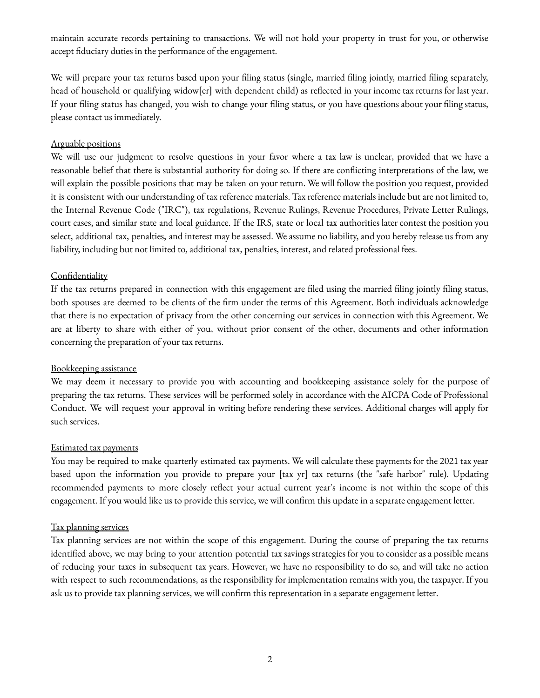maintain accurate records pertaining to transactions. We will not hold your property in trust for you, or otherwise accept fiduciary duties in the performance of the engagement.

We will prepare your tax returns based upon your filing status (single, married filing jointly, married filing separately, head of household or qualifying widow[er] with dependent child) as reflected in your income tax returns for last year. If your filing status has changed, you wish to change your filing status, or you have questions about your filing status, please contact us immediately.

#### Arguable positions

We will use our judgment to resolve questions in your favor where a tax law is unclear, provided that we have a reasonable belief that there is substantial authority for doing so. If there are conflicting interpretations of the law, we will explain the possible positions that may be taken on your return. We will follow the position you request, provided it is consistent with our understanding of tax reference materials. Tax reference materials include but are not limited to, the Internal Revenue Code ("IRC"), tax regulations, Revenue Rulings, Revenue Procedures, Private Letter Rulings, court cases, and similar state and local guidance. If the IRS, state or local tax authorities later contest the position you select, additional tax, penalties, and interest may be assessed. We assume no liability, and you hereby release us from any liability, including but not limited to, additional tax, penalties, interest, and related professional fees.

#### **Confidentiality**

If the tax returns prepared in connection with this engagement are filed using the married filing jointly filing status, both spouses are deemed to be clients of the firm under the terms of this Agreement. Both individuals acknowledge that there is no expectation of privacy from the other concerning our services in connection with this Agreement. We are at liberty to share with either of you, without prior consent of the other, documents and other information concerning the preparation of your tax returns.

#### Bookkeeping assistance

We may deem it necessary to provide you with accounting and bookkeeping assistance solely for the purpose of preparing the tax returns. These services will be performed solely in accordance with the AICPA Code of Professional Conduct. We will request your approval in writing before rendering these services. Additional charges will apply for such services.

#### Estimated tax payments

You may be required to make quarterly estimated tax payments. We will calculate these payments for the 2021 tax year based upon the information you provide to prepare your [tax yr] tax returns (the "safe harbor" rule). Updating recommended payments to more closely reflect your actual current year's income is not within the scope of this engagement. If you would like us to provide this service, we will confirm this update in a separate engagement letter.

#### Tax planning services

Tax planning services are not within the scope of this engagement. During the course of preparing the tax returns identified above, we may bring to your attention potential tax savings strategies for you to consider as a possible means of reducing your taxes in subsequent tax years. However, we have no responsibility to do so, and will take no action with respect to such recommendations, as the responsibility for implementation remains with you, the taxpayer. If you ask us to provide tax planning services, we will confirm this representation in a separate engagement letter.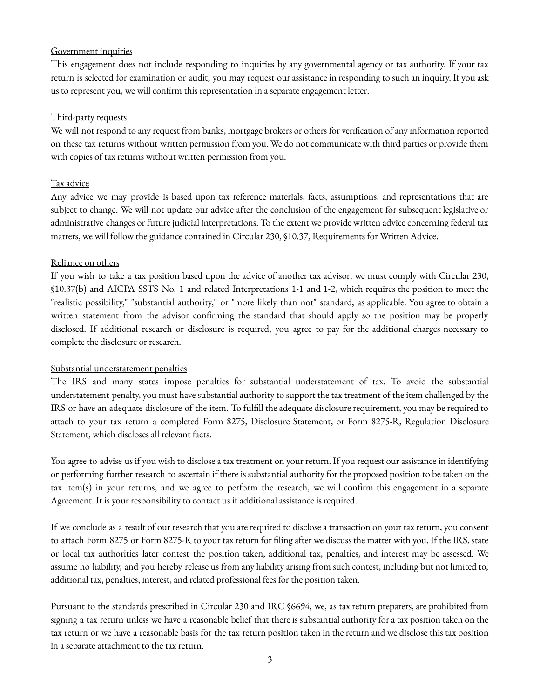#### Government inquiries

This engagement does not include responding to inquiries by any governmental agency or tax authority. If your tax return is selected for examination or audit, you may request our assistance in responding to such an inquiry. If you ask us to represent you, we will confirm this representation in a separate engagement letter.

#### Third-party requests

We will not respond to any request from banks, mortgage brokers or others for verification of any information reported on these tax returns without written permission from you. We do not communicate with third parties or provide them with copies of tax returns without written permission from you.

## Tax advice

Any advice we may provide is based upon tax reference materials, facts, assumptions, and representations that are subject to change. We will not update our advice after the conclusion of the engagement for subsequent legislative or administrative changes or future judicial interpretations. To the extent we provide written advice concerning federal tax matters, we will follow the guidance contained in Circular 230, §10.37, Requirements for Written Advice.

#### Reliance on others

If you wish to take a tax position based upon the advice of another tax advisor, we must comply with Circular 230, §10.37(b) and AICPA SSTS No. 1 and related Interpretations 1-1 and 1-2, which requires the position to meet the "realistic possibility," "substantial authority," or "more likely than not" standard, as applicable. You agree to obtain a written statement from the advisor confirming the standard that should apply so the position may be properly disclosed. If additional research or disclosure is required, you agree to pay for the additional charges necessary to complete the disclosure or research.

## Substantial understatement penalties

The IRS and many states impose penalties for substantial understatement of tax. To avoid the substantial understatement penalty, you must have substantial authority to support the tax treatment of the item challenged by the IRS or have an adequate disclosure of the item. To fulfill the adequate disclosure requirement, you may be required to attach to your tax return a completed Form 8275, Disclosure Statement, or Form 8275-R, Regulation Disclosure Statement, which discloses all relevant facts.

You agree to advise us if you wish to disclose a tax treatment on your return. If you request our assistance in identifying or performing further research to ascertain if there is substantial authority for the proposed position to be taken on the tax item(s) in your returns, and we agree to perform the research, we will confirm this engagement in a separate Agreement. It is your responsibility to contact us if additional assistance is required.

If we conclude as a result of our research that you are required to disclose a transaction on your tax return, you consent to attach Form 8275 or Form 8275-R to your tax return for filing after we discuss the matter with you. If the IRS, state or local tax authorities later contest the position taken, additional tax, penalties, and interest may be assessed. We assume no liability, and you hereby release us from any liability arising from such contest, including but not limited to, additional tax, penalties, interest, and related professional fees for the position taken.

Pursuant to the standards prescribed in Circular 230 and IRC §6694, we, as tax return preparers, are prohibited from signing a tax return unless we have a reasonable belief that there is substantial authority for a tax position taken on the tax return or we have a reasonable basis for the tax return position taken in the return and we disclose this tax position in a separate attachment to the tax return.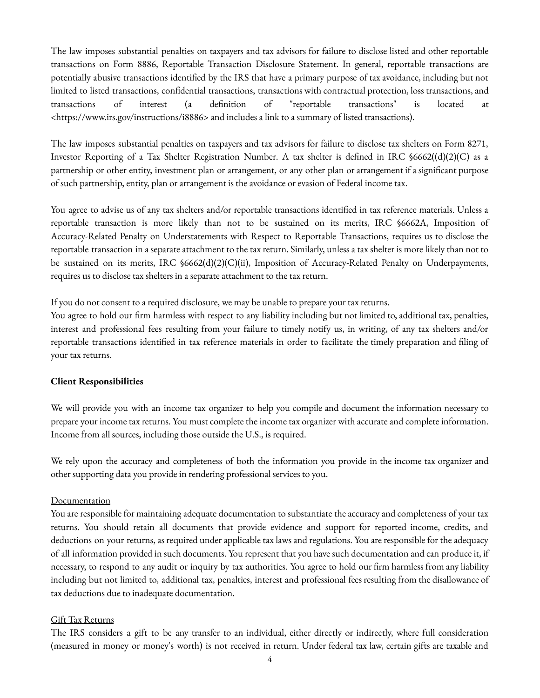The law imposes substantial penalties on taxpayers and tax advisors for failure to disclose listed and other reportable transactions on Form 8886, Reportable Transaction Disclosure Statement. In general, reportable transactions are potentially abusive transactions identified by the IRS that have a primary purpose of tax avoidance, including but not limited to listed transactions, confidential transactions, transactions with contractual protection, loss transactions, and transactions of interest (a definition of "reportable transactions" is located at <https://www.irs.gov/instructions/i8886> and includes a link to a summary of listed transactions).

The law imposes substantial penalties on taxpayers and tax advisors for failure to disclose tax shelters on Form 8271, Investor Reporting of a Tax Shelter Registration Number. A tax shelter is defined in IRC §6662((d)(2)(C) as a partnership or other entity, investment plan or arrangement, or any other plan or arrangement if a significant purpose of such partnership, entity, plan or arrangement is the avoidance or evasion of Federal income tax.

You agree to advise us of any tax shelters and/or reportable transactions identified in tax reference materials. Unless a reportable transaction is more likely than not to be sustained on its merits, IRC §6662A, Imposition of Accuracy-Related Penalty on Understatements with Respect to Reportable Transactions, requires us to disclose the reportable transaction in a separate attachment to the tax return. Similarly, unless a tax shelter is more likely than not to be sustained on its merits, IRC §6662(d)(2)(C)(ii), Imposition of Accuracy-Related Penalty on Underpayments, requires us to disclose tax shelters in a separate attachment to the tax return.

If you do not consent to a required disclosure, we may be unable to prepare your tax returns.

You agree to hold our firm harmless with respect to any liability including but not limited to, additional tax, penalties, interest and professional fees resulting from your failure to timely notify us, in writing, of any tax shelters and/or reportable transactions identified in tax reference materials in order to facilitate the timely preparation and filing of your tax returns.

## **Client Responsibilities**

We will provide you with an income tax organizer to help you compile and document the information necessary to prepare your income tax returns. You must complete the income tax organizer with accurate and complete information. Income from all sources, including those outside the U.S., is required.

We rely upon the accuracy and completeness of both the information you provide in the income tax organizer and other supporting data you provide in rendering professional services to you.

#### Documentation

You are responsible for maintaining adequate documentation to substantiate the accuracy and completeness of your tax returns. You should retain all documents that provide evidence and support for reported income, credits, and deductions on your returns, as required under applicable tax laws and regulations. You are responsible for the adequacy of all information provided in such documents. You represent that you have such documentation and can produce it, if necessary, to respond to any audit or inquiry by tax authorities. You agree to hold our firm harmless from any liability including but not limited to, additional tax, penalties, interest and professional fees resulting from the disallowance of tax deductions due to inadequate documentation.

#### Gift Tax Returns

The IRS considers a gift to be any transfer to an individual, either directly or indirectly, where full consideration (measured in money or money's worth) is not received in return. Under federal tax law, certain gifts are taxable and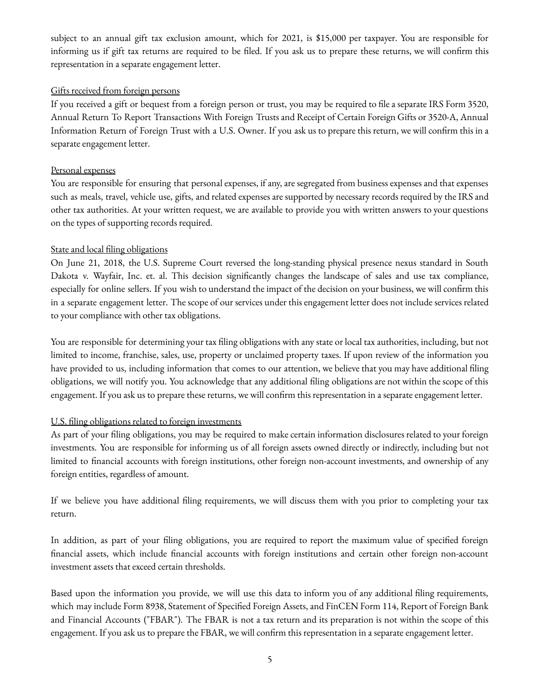subject to an annual gift tax exclusion amount, which for 2021, is \$15,000 per taxpayer. You are responsible for informing us if gift tax returns are required to be filed. If you ask us to prepare these returns, we will confirm this representation in a separate engagement letter.

#### Gifts received from foreign persons

If you received a gift or bequest from a foreign person or trust, you may be required to file a separate IRS Form 3520, Annual Return To Report Transactions With Foreign Trusts and Receipt of Certain Foreign Gifts or 3520-A, Annual Information Return of Foreign Trust with a U.S. Owner. If you ask us to prepare this return, we will confirm this in a separate engagement letter.

#### Personal expenses

You are responsible for ensuring that personal expenses, if any, are segregated from business expenses and that expenses such as meals, travel, vehicle use, gifts, and related expenses are supported by necessary records required by the IRS and other tax authorities. At your written request, we are available to provide you with written answers to your questions on the types of supporting records required.

#### State and local filing obligations

On June 21, 2018, the U.S. Supreme Court reversed the long-standing physical presence nexus standard in South Dakota v. Wayfair, Inc. et. al. This decision significantly changes the landscape of sales and use tax compliance, especially for online sellers. If you wish to understand the impact of the decision on your business, we will confirm this in a separate engagement letter. The scope of our services under this engagement letter does not include services related to your compliance with other tax obligations.

You are responsible for determining your tax filing obligations with any state or local tax authorities, including, but not limited to income, franchise, sales, use, property or unclaimed property taxes. If upon review of the information you have provided to us, including information that comes to our attention, we believe that you may have additional filing obligations, we will notify you. You acknowledge that any additional filing obligations are not within the scope of this engagement. If you ask us to prepare these returns, we will confirm this representation in a separate engagement letter.

## U.S. filing obligations related to foreign investments

As part of your filing obligations, you may be required to make certain information disclosures related to your foreign investments. You are responsible for informing us of all foreign assets owned directly or indirectly, including but not limited to financial accounts with foreign institutions, other foreign non-account investments, and ownership of any foreign entities, regardless of amount.

If we believe you have additional filing requirements, we will discuss them with you prior to completing your tax return.

In addition, as part of your filing obligations, you are required to report the maximum value of specified foreign financial assets, which include financial accounts with foreign institutions and certain other foreign non-account investment assets that exceed certain thresholds.

Based upon the information you provide, we will use this data to inform you of any additional filing requirements, which may include Form 8938, Statement of Specified Foreign Assets, and FinCEN Form 114, Report of Foreign Bank and Financial Accounts ("FBAR"). The FBAR is not a tax return and its preparation is not within the scope of this engagement. If you ask us to prepare the FBAR, we will confirm this representation in a separate engagement letter.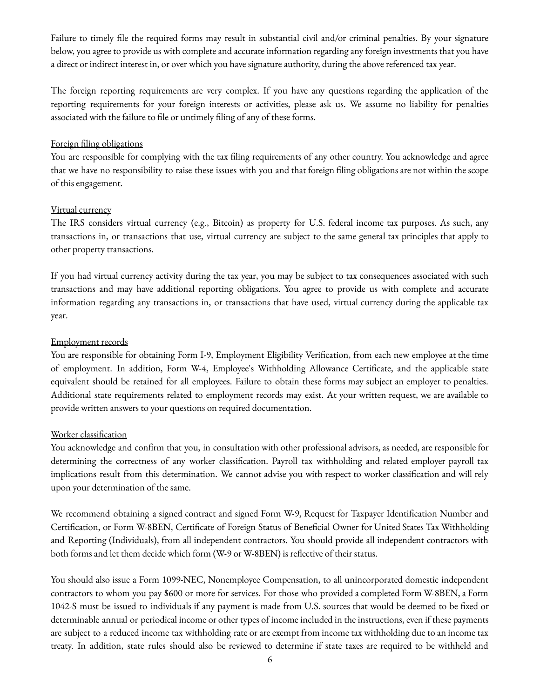Failure to timely file the required forms may result in substantial civil and/or criminal penalties. By your signature below, you agree to provide us with complete and accurate information regarding any foreign investments that you have a direct or indirect interest in, or over which you have signature authority, during the above referenced tax year.

The foreign reporting requirements are very complex. If you have any questions regarding the application of the reporting requirements for your foreign interests or activities, please ask us. We assume no liability for penalties associated with the failure to file or untimely filing of any of these forms.

## Foreign filing obligations

You are responsible for complying with the tax filing requirements of any other country. You acknowledge and agree that we have no responsibility to raise these issues with you and that foreign filing obligations are not within the scope of this engagement.

#### Virtual currency

The IRS considers virtual currency (e.g., Bitcoin) as property for U.S. federal income tax purposes. As such, any transactions in, or transactions that use, virtual currency are subject to the same general tax principles that apply to other property transactions.

If you had virtual currency activity during the tax year, you may be subject to tax consequences associated with such transactions and may have additional reporting obligations. You agree to provide us with complete and accurate information regarding any transactions in, or transactions that have used, virtual currency during the applicable tax year.

## Employment records

You are responsible for obtaining Form I-9, Employment Eligibility Verification, from each new employee at the time of employment. In addition, Form W-4, Employee's Withholding Allowance Certificate, and the applicable state equivalent should be retained for all employees. Failure to obtain these forms may subject an employer to penalties. Additional state requirements related to employment records may exist. At your written request, we are available to provide written answers to your questions on required documentation.

## Worker classification

You acknowledge and confirm that you, in consultation with other professional advisors, as needed, are responsible for determining the correctness of any worker classification. Payroll tax withholding and related employer payroll tax implications result from this determination. We cannot advise you with respect to worker classification and will rely upon your determination of the same.

We recommend obtaining a signed contract and signed Form W-9, Request for Taxpayer Identification Number and Certification, or Form W-8BEN, Certificate of Foreign Status of Beneficial Owner for United States Tax Withholding and Reporting (Individuals), from all independent contractors. You should provide all independent contractors with both forms and let them decide which form (W-9 or W-8BEN) is reflective of their status.

You should also issue a Form 1099-NEC, Nonemployee Compensation, to all unincorporated domestic independent contractors to whom you pay \$600 or more for services. For those who provided a completed Form W-8BEN, a Form 1042-S must be issued to individuals if any payment is made from U.S. sources that would be deemed to be fixed or determinable annual or periodical income or other types of income included in the instructions, even if these payments are subject to a reduced income tax withholding rate or are exempt from income tax withholding due to an income tax treaty. In addition, state rules should also be reviewed to determine if state taxes are required to be withheld and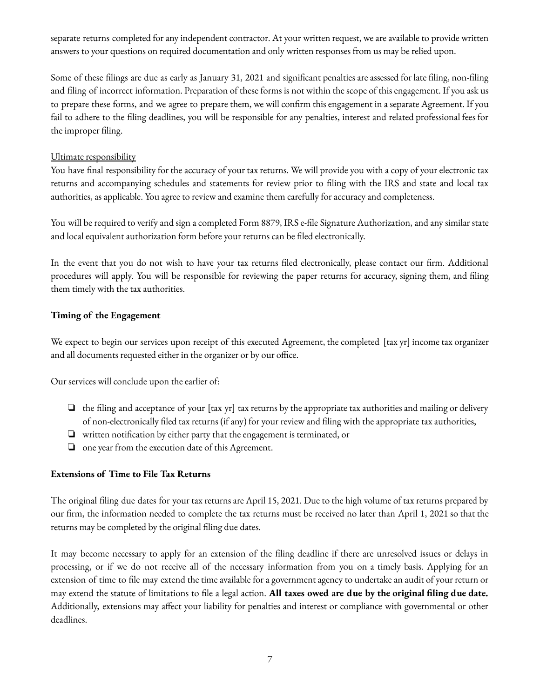separate returns completed for any independent contractor. At your written request, we are available to provide written answers to your questions on required documentation and only written responses from us may be relied upon.

Some of these filings are due as early as January 31, 2021 and significant penalties are assessed for late filing, non-filing and filing of incorrect information. Preparation of these forms is not within the scope of this engagement. If you ask us to prepare these forms, and we agree to prepare them, we will confirm this engagement in a separate Agreement. If you fail to adhere to the filing deadlines, you will be responsible for any penalties, interest and related professional fees for the improper filing.

# Ultimate responsibility

You have final responsibility for the accuracy of your tax returns. We will provide you with a copy of your electronic tax returns and accompanying schedules and statements for review prior to filing with the IRS and state and local tax authorities, as applicable. You agree to review and examine them carefully for accuracy and completeness.

You will be required to verify and sign a completed Form 8879, IRS e-file Signature Authorization, and any similar state and local equivalent authorization form before your returns can be filed electronically.

In the event that you do not wish to have your tax returns filed electronically, please contact our firm. Additional procedures will apply. You will be responsible for reviewing the paper returns for accuracy, signing them, and filing them timely with the tax authorities.

# **Timing of the Engagement**

We expect to begin our services upon receipt of this executed Agreement, the completed [tax yr] income tax organizer and all documents requested either in the organizer or by our office.

Our services will conclude upon the earlier of:

- ❏ the filing and acceptance of your [tax yr] tax returns by the appropriate tax authorities and mailing or delivery of non-electronically filed tax returns (if any) for your review and filing with the appropriate tax authorities,
- ❏ written notification by either party that the engagement is terminated, or
- ❏ one year from the execution date of this Agreement.

## **Extensions of Time to File Tax Returns**

The original filing due dates for your tax returns are April 15, 2021. Due to the high volume of tax returns prepared by our firm, the information needed to complete the tax returns must be received no later than April 1, 2021 so that the returns may be completed by the original filing due dates.

It may become necessary to apply for an extension of the filing deadline if there are unresolved issues or delays in processing, or if we do not receive all of the necessary information from you on a timely basis. Applying for an extension of time to file may extend the time available for a government agency to undertake an audit of your return or may extend the statute of limitations to file a legal action. **All taxes owed are due by the original filing due date.** Additionally, extensions may affect your liability for penalties and interest or compliance with governmental or other deadlines.